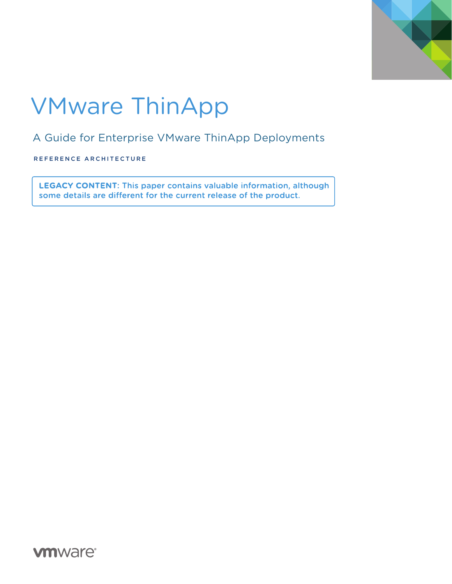

# VMware ThinApp

A Guide for Enterprise VMware ThinApp Deployments

REFERENCE ARCHITECTURE

**LEGACY CONTENT: This paper contains valuable information, although** some details are different for the current release of the product.

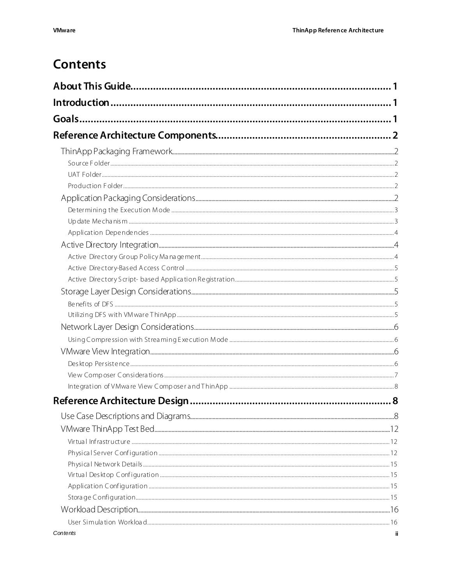# **Contents**

| Contents | Ϊİ |
|----------|----|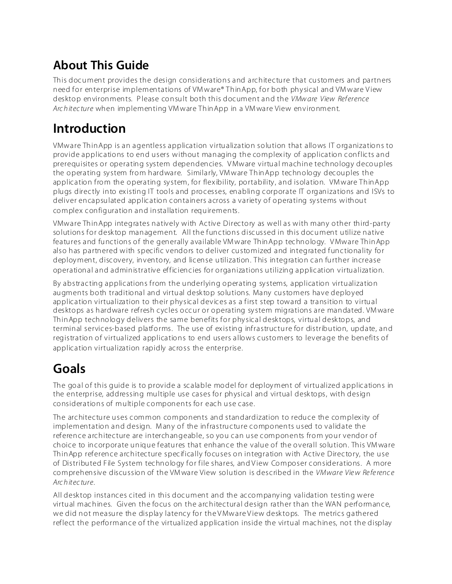# **About This Guide**

This document provides the design considerations and architecture that customers and partners need for enterprise implementations of VM ware® ThinApp, for both physical and VM ware View desktop environments. Please consult both this document and the *VMw are View Reference Arc h itec ture* when implementing VM ware ThinApp in a VM ware View environment.

# **Introduction**

VMware ThinApp is an agentless application virtualization solution that allows IT organizations to provide applications to end users without managing the complex ity of application conflicts and prerequisites or operating system dependencies. V Mware virtual machine technology decouples the operating system from hardware. Similarly, VM ware ThinApp technology decouples the application from the operating system, for flex ibility, portability, and isolation. VM ware ThinApp plugs directly into ex isting IT tools and processes, enabling corporate IT organizations and ISVs to deliver encapsulated application containers across a variety of operating systems without complex configuration and installation requirements.

VMware ThinApp integrates natively with Active Directory as well as with many other third-party solutions for desk top management. All the functions discussed in this document utilize native features and functions of the generally available VM ware ThinApp technology. V Mware ThinApp also has partnered with specific vendors to deliver customized and integrated functionality for deployment, discovery, inventory, and license utilization. This integration can further increase operational and administrative efficiencies for organizations utilizing application virtualization.

By abstracting applications from the underlying operating systems, application virtualization augments both traditional and virtual desk top solutions. Many customers have deployed application virtualization to their physical devices as a first step toward a transition to virtual desktops as hardware refresh cycles occur or operating system migrations are mandated. VM ware ThinApp technology delivers the same benefits for physical desk tops, virtual desk tops, and terminal services-based platforms. The use of ex isting infrastructure for distribution, update, and registration of virtualized applications to end users allows customers to leverage the benefits of application virtualization rapidly across the enterprise.

# **Goals**

The goal of this guide is to provide a scalable model for deployment of virtualized applications in the enterprise, addressing multiple use cases for physical and virtual desk tops, with design considerations of multiple components for each use case.

The architecture uses common components and standardization to reduce the complexity of implementation and design. Many of the infrastructure components used to validate the reference architecture are interchangeable, so you can use components from your vendor of choice to incorporate unique features that enhance the value of the overall solution. This VM ware ThinApp reference architecture specifically focuses on integration with Active Directory, the use of Distributed File System technology for file shares, and V iew Composer considerations. A more comprehensive discussion of the VM ware View solution is described in the *VMware Vie w Re fe renc e Arc h itec ture*.

All desk top instances cited in this document and the accompanying validation testing were virtual machines. Given the focus on the architectural design rather than the WAN performance, we did not measure the display latency for the VMware View desktops. The metrics gathered reflect the performance of the virtualized application inside the virtual machines, not the display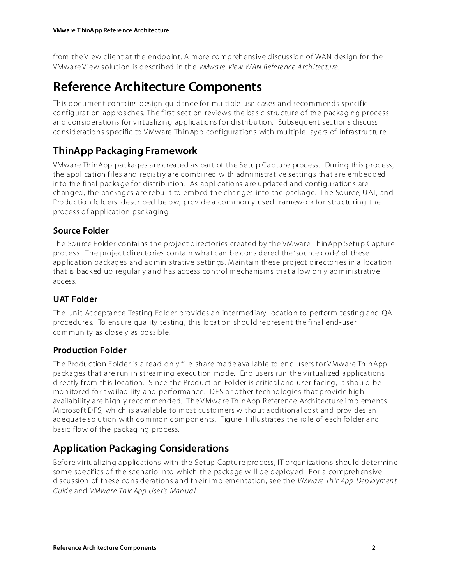from the View client at the endpoint. A more comprehensive discussion of WAN design for the VMware V iew solution is described in the *VMwa re View W AN Refe re nce A rch itec tu re*.

# **Reference Architecture Components**

This document contains design guidance for multiple use cases and recommends specific configuration approaches. The first section reviews the basic structure of the packaging process and considerations for virtualizing applications for distribution. Subsequent sections discuss considerations specific to V Mware ThinApp configurations with multiple layers of infrastructure.

### **ThinApp Packaging Framework**

VMware ThinApp packages are created as part of the Setup Capture process. During this process, the application files and registry are combined with administrative settings that are embedded into the final package for distribution. As applications are updated and configurations are changed, the packages are rebuilt to embed the changes into the package. The Source, UAT, and Production folders, described below, provide a commonly used framework for structuring the process of application packaging.

#### **Source Folder**

The Source Folder contains the project directories created by the VM ware ThinApp Setup Capture process. The project directories contain what can be considered the 'source code' of these application pack ages and administrative settings. M aintain these project directories in a location that is back ed up regularly and has access control mechanisms that allow only administrative access.

#### **UAT Folder**

The Unit Acceptance Testing Folder provides an intermediary location to perform testing and QA procedures. To ensure quality testing, this location should represent the final end-user community as closely as possible.

#### **Production Folder**

The P roduction Folder is a read-only file-share made available to end users for V Mware ThinApp pack ages that are run in streaming ex ecution mode. End users run the virtualized applications directly from this location. Since the Production Folder is critical and user-facing, it should be monitored for availability and performance. DFS or other technologies that provide high availability are highly recommended. The V Mware ThinApp R eference Architecture implements Microsoft DFS, which is available to most customers without additional cost and provides an adequate solution with common components. Figure 1 illustrates the role of each folder and basic flow of the pack aging process.

### **Application Packaging Considerations**

Before virtualizing applications with the Setup Capture process, IT organizations should determine some specifics of the scenario into which the pack age will be deployed. For a comprehensive discussion of these considerations and their implementation, see the *VMwa re Th in App Dep lo ymen t Guid e* and *VMware Th in App Use r's Man ua l*.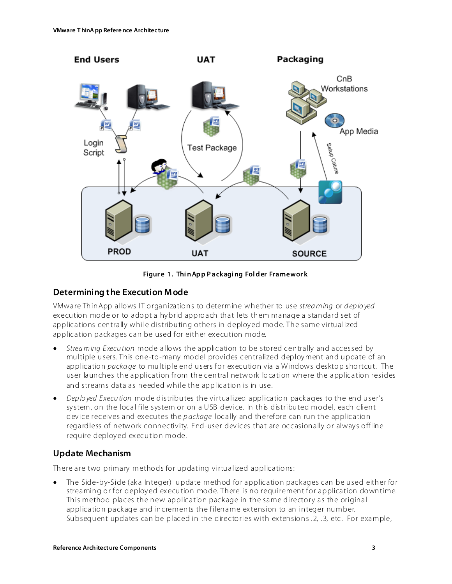

**Figur e 1. Thi n Ap p P ackagi ng Fol d er Framewor k**

#### **Determining t he Execution Mode**

VMware ThinApp allows IT organizations to determine whether to use *strea m ing* or *d ep lo yed* ex ecution mode or to adopt a hybrid approach that lets them manage a standard set of applications centrally while distributing others in deployed mode. The same virtualized application pack ages can be used for either ex ecution mode.

- *Strea ming Execu tion* mode allows the application to be stored centrally and accessed by multiple users. This one-to-many model provides centralized deployment and update of an application *packa ge* to multiple end users for ex ecution via a Windows desktop shortcut. The user launches the application from the central network location where the application resides and streams data as needed while the application is in use.
- *Dep lo yed Execu tion* mode distributes the virtualized application pack ages to the end user's system, on the local file system or on a USB device. In this distributed model, each client device receives and ex ecutes the *p ackage* locally and therefore can run the application regardless of network connectivity. End-user devices that are occasionally or always offline require deployed ex ecution mode.

#### **Update Mechanism**

There are two primary methods for updating virtualized applications:

The Side-by-Side (aka Integer) update method for application packages can be used either for streaming or for deployed ex ecution mode. There is no requirement for application downtime. This method places the new application pack age in the same directory as the original application pack age and increments the filename ex tension to an integer number. Subsequent updates can be placed in the directories with ex tensions .2, .3, etc. For example,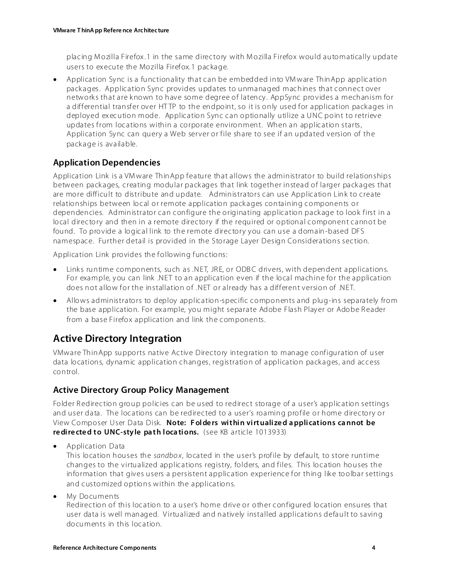placing Mozilla Firefox.1 in the same directory with Mozilla Firefox would automatically update users to ex ecute the Mozilla Firefox.1 package.

• Application Sync is a functionality that can be embedded into VM ware ThinApp application pack ages. Application Sync provides updates to unmanaged machines that connect over networks that are known to have some degree of latency. AppSync provides a mechanism for a differential transfer over HTTP to the endpoint, so it is only used for application packages in deployed ex ecution mode. Application Sync can optionally utilize a UNC point to retrieve updates from locations within a corporate environment. When an application starts, Application Sync can query a Web server or file share to see if an updated version of the pack age is available.

#### **Application Dependencies**

Application Link is a VM ware ThinApp feature that allows the administrator to build relationships between pack ages, creating modular pack ages that link together instead of larger pack ages that are more difficult to distribute and update. Administrators can use Application Link to create relationships between local or remote application pack ages containing components or dependencies. Administrator can configure the originating application package to look first in a local directory and then in a remote directory if the required or optional component cannot be found. To provide a logical link to the remote directory you can use a domain-based DFS namespace. Further detail is provided in the Storage Layer Design Considerations section.

Application Link provides the following functions:

- Links runtime components, such as .NET, JRE, or ODBC drivers, with dependent applications. For example, you can link .NET to an application even if the local machine for the application does not allow for the installation of .NET or already has a different version of .NET.
- Allows administrators to deploy application-specific components and plug-ins separately from the base application. For example, you might separate Adobe Flash Player or Adobe Reader from a base Firefox application and link the components.

### **Active Directory Integration**

VMware ThinApp supports native Active Directory integration to manage configuration of user data locations, dynamic application changes, registration of application packages, and access control.

#### **Active Directory Group Policy Management**

Folder Redirection group policies can be used to redirect storage of a user's application settings and user data. The locations can be redirected to a user's roaming profile or home directory or View Composer User Data Disk. **Note: F ol de rs wi thi n vi rt uali ze d a ppli cations ca nnot be redirected to UNC-style path locations.** (see KB article 1013933)

• Application Data

This location houses the *sandbo x*, located in the user's profile by default, to store runtime changes to the virtualized applications registry, folders, and files. This location houses the information that gives users a persistent application experience for thing like toolbar settings and customized options within the applications.

• My Documents

Redirection of this location to a user's home drive or other configured location ensures that user data is well managed. Virtualized and natively installed applications default to saving documents in this location.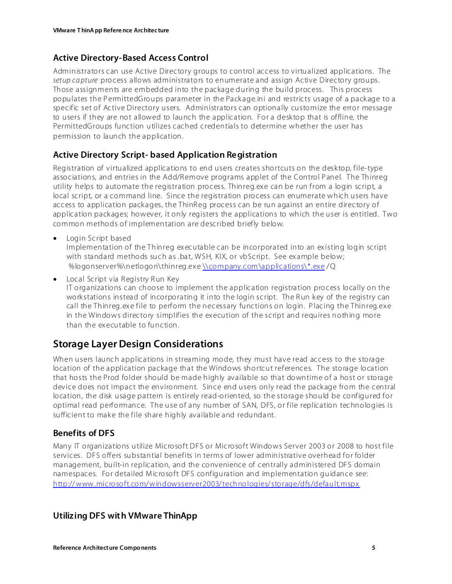#### **Active Directory-Based Access Control**

Administrators can use Active Directory groups to control access to virtualized applications. The *setup ca pture* process allows administrators to enumerate and assign Active Directory groups. Those assignments are embedded into the package during the build process. This process populates the P ermitted Groups parameter in the Package.ini and restricts usage of a package to a specific set of Active Directory users. Administrators can optionally customize the error message to users if they are not allowed to launch the application. For a desk top that is offline, the PermittedGroups function utilizes cached credentials to determine whether the user has permission to launch the application.

#### **Active Directory Script- based Application Registration**

Registration of virtualized applications to end users creates shortcuts on the desk top, file-type associations, and entries in the Add/Remove programs applet of the Control P anel. The Thinreg utility helps to automate the registration process. Thinreg.exe can be run from a login script, a local script, or a command line. Since the registration process can enumerate which users have access to application packages, the ThinReg process can be run against an entire directory of application pack ages; however, it only registers the applications to which the user is entitled. Two common methods of implementation are described briefly below.

- Login Script based Implementation of the Thinreg ex ecutable can be incorporated into an ex isting login script with standard methods such as .bat, WSH, KIX, or vbScript. See example below; %logonserver%\netlogon\thinreg.exe\\company.com\applications\\*.exe/Q
- Local Script via Registry Run Key

IT organizations can choose to implement the application registration process locally on the workstations instead of incorporating it into the login script. The Run key of the registry can call the Thinreg.exe file to perform the necessary functions on login. Placing the Thinreg.exe in the Windows directory simplifies the ex ecution of the script and requires nothing more than the ex ecutable to function.

### **Storage Layer Design Considerations**

When users launch applications in streaming mode, they must have read access to the storage location of the application package that the Windows shortcut references. The storage location that hosts the Prod folder should be made highly available so that downtime of a host or storage device does not impact the environment. Since end users only read the pack age from the central location, the disk usage pattern is entirely read-oriented, so the storage should be configured for optimal read performance. The use of any number of SAN, DFS, or file replication technologies is sufficient to make the file share highly available and redundant.

#### **Benefits of DFS**

Many IT organizations utilize Microsoft DFS or Microsoft Windows Server 2003 or 2008 to host file services. DFS offers substantial benefits in terms of lower administrative overhead for folder management, built-in replication, and the convenience of centrally administered DFS domain namespaces. For detailed M icrosoft DFS configuration and implementation guidance see: <http://www.microsoft.com/windowsserver2003/technologies/storage/dfs/default.mspx>

#### **Utilizing DFS wit h VMware ThinApp**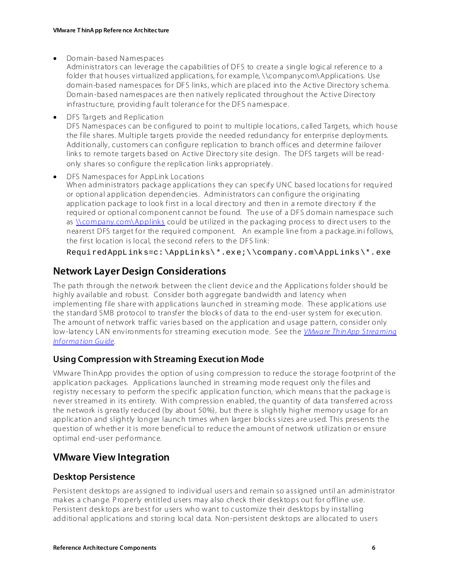• Domain-based Namespaces

Administrators can leverage the capabilities of DFS to create a single logical reference to a folder that houses virtualized applications, for example, \\companycom\Applications. Use domain-based namespaces for DFS links, which are placed into the Active Directory schema. Domain-based namespaces are then natively replicated throughout the Active Directory infrastructure, providing fault tolerance for the DFS namespace.

- DFS Targets and Replication DFS Namespaces can be configured to point to multiple locations, called Targets, which house the file shares. M ultiple targets provide the needed redundancy for enterprise deployments. Additionally, customers can configure replication to branch offices and determine failover links to remote targets based on Active Directory site design. The DFS targets will be readonly shares so configure the replication links appropriately.
- DFS Namespaces for AppLink Locations When administrators pack age applications they can specify UNC based locations for required or optional application dependencies. Administrators can configure the originating application pack age to look first in a local directory and then in a remote directory if the required or optional component cannot be found. The use of a DFS domain namespace such as \\company.com\Applinks could be utilized in the packaging process to direct users to the nearerst DFS target for the required component. An ex ample line from a pack age.ini follows, the first location is local, the second refers to the DFS link:

 $Regui redAppLinks=c:\AppLinks\',exe;\ \complement\;company.com\AppLinks\',exe$ 

### **Network Layer Design Considerations**

The path through the network between the client device and the Applications folder should be highly available and robust. Consider both aggregate bandwidth and latency when implementing file share with applications launched in streaming mode. These applications use the standard SMB protocol to transfer the blocks of data to the end-user system for execution. The amount of network traffic varies based on the application and usage pattern, consider only low-latency LAN environments for streaming execution mode. See the *VMware Thin App Streaming [Inf orma tion Gu ide](http://www.vmware.com/resources/techresources/10027)*.

#### **Using Compression with Streaming Execut ion Mode**

VMware ThinApp provides the option of using compression to reduce the storage footprint of the application pack ages. Applications launched in streaming mode request only the files and registry necessary to perform the specific application function, which means that the package is never streamed in its entirety. With compression enabled, the quantity of data transferred across the network is greatly reduced (by about 50%), but there is slightly higher memory usage for an application and slightly longer launch times when larger block s sizes are used. This presents the question of whether it is more beneficial to reduce the amount of network utilization or ensure optimal end-user performance.

### **VMware View Integration**

#### **Desktop Persistence**

Persistent desktops are assigned to individual users and remain so assigned until an administrator mak es a change. P roperly entitled users may also check their desk tops out for offline use. Persistent desktops are best for users who want to customize their desktops by installing additional applications and storing local data. Non-persistent desk tops are allocated to users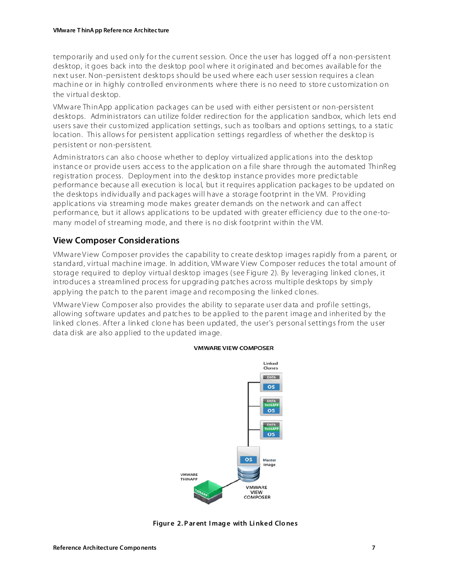temporarily and used only for the current session. Once the user has logged off a non-persistent desktop, it goes back into the desktop pool where it originated and becomes available for the next user. Non-persistent desktops should be used where each user session requires a clean machine or in highly controlled environments where there is no need to store customization on the virtual desktop.

VMware ThinApp application pack ages can be used with either persistent or non-persistent desktops. Administrators can utilize folder redirection for the application sandbox, which lets end users save their customized application settings, such as toolbars and options settings, to a static location. This allows for persistent application settings regardless of whether the desktop is persistent or non-persistent.

Administrators can also choose whether to deploy virtualized applications into the desk top instance or provide users access to the application on a file share through the automated ThinR eg registration process. Deployment into the desk top instance provides more predictable performance because all ex ecution is local, but it requires application packages to be updated on the desktops individually and packages will have a storage footprint in the VM. Providing applications via streaming mode makes greater demands on the network and can affect performance, but it allows applications to be updated with greater efficiency due to the one-tomany model of streaming mode, and there is no disk footprint within the VM.

#### **View Composer Considerations**

VMware View Composer provides the capability to create desktop images rapidly from a parent, or standard, virtual machine image. In addition, VM ware View Composer reduces the total amount of storage required to deploy virtual desktop images (see Figure 2). By leveraging linked clones, it introduces a streamlined process for upgrading patches across multiple desktops by simply applying the patch to the parent image and recomposing the linked clones.

VMware View Composer also provides the ability to separate user data and profile settings, allowing software updates and patches to be applied to the parent image and inherited by the linked clones. After a linked clone has been updated, the user's personal settings from the user data disk are also applied to the updated image.



#### **VMWARE VIEW COMPOSER**

**Figur e 2. P ar ent I mag e with Li nked Clo nes**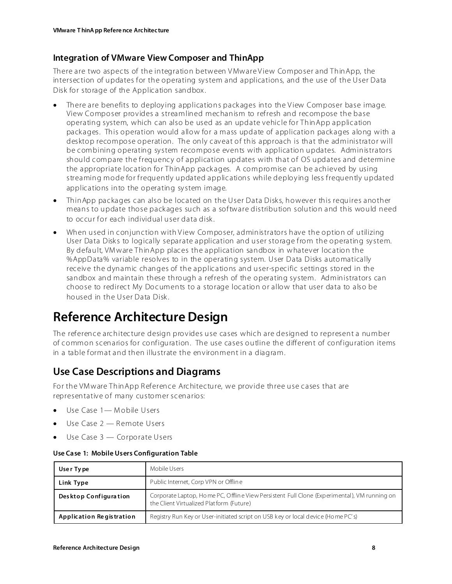#### **Integration of VMware View Composer and ThinApp**

There are two aspects of the integration between V Mware V iew Composer and ThinApp, the intersection of updates for the operating system and applications, and the use of the User Data Disk for storage of the Application sandbox.

- There are benefits to deploying applications packages into the View Composer base image. View Composer provides a streamlined mechanism to refresh and recompose the base operating system, which can also be used as an update vehicle for ThinApp application pack ages. This operation would allow for a mass update of application pack ages along with a desktop recompose operation. The only caveat of this approach is that the administrator will be combining operating system recompose events with application updates. Administrators should compare the frequency of application updates with that of OS updates and determine the appropriate location for ThinApp pack ages. A compromise can be achieved by using streaming mode for frequently updated applications while deploying less frequently updated applications into the operating system image.
- ThinApp packages can also be located on the User Data Disks, however this requires another means to update those pack ages such as a software distribution solution and this would need to occur for each individual user data disk .
- When used in conjunction with View Composer, administrators have the option of utilizing User Data Disks to logically separate application and user storage from the operating system. By default, VM ware ThinApp places the application sandbox in whatever location the %AppData% variable resolves to in the operating system. User Data Disks automatically receive the dynamic changes of the applications and user-specific settings stored in the sandbox and maintain these through a refresh of the operating system. Administrators can choose to redirect My Documents to a storage location or allow that user data to also be housed in the User Data Disk .

# **Reference Architecture Design**

The reference architecture design provides use cases which are designed to represent a number of common scenarios for configuration. The use cases outline the different of configuration items in a table format and then illustrate the environment in a diagram.

### **Use Case Descriptions and Diagrams**

For the VM ware ThinApp Reference Architecture, we provide three use cases that are representative of many customer scenarios:

- Use Case 1-Mobile Users
- Use Case 2 Remote Users
- Use Case 3 Corporate Users

#### **Use Case 1: Mobile Users Configuration Table**

| User Type                | Mobile Users                                                                                                                            |
|--------------------------|-----------------------------------------------------------------------------------------------------------------------------------------|
| Link Type                | Public Internet, Corp VPN or Offline                                                                                                    |
| Desktop Configuration    | Corporate Laptop, Home PC, Offline View Persistent Full Clone (Experimental), VM running on<br>the Client Virtualized Platform (Future) |
| Application Registration | Registry Run Key or User-initiated script on USB key or local device (Home PC's)                                                        |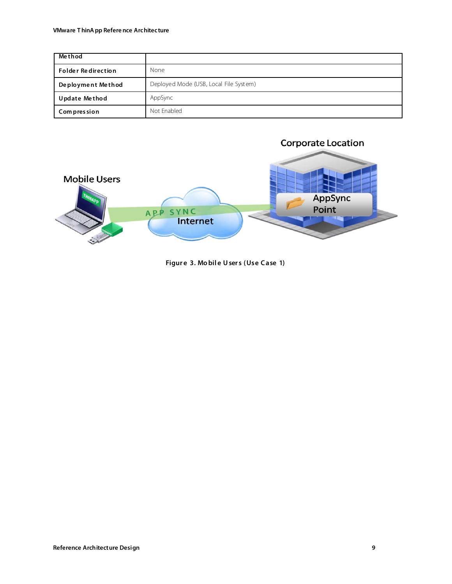| Method                    |                                        |
|---------------------------|----------------------------------------|
| <b>Folder Redirection</b> | None                                   |
| Deployment Method         | Deployed Mode (USB, Local File System) |
| Update Method             | AppSync                                |
| Compression               | Not Fnabled                            |



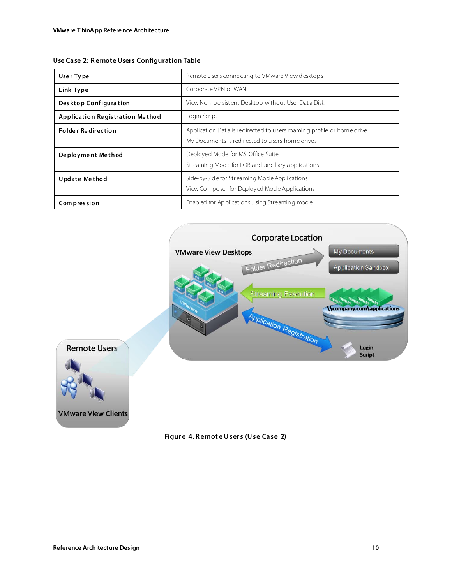| User Type                       | Remote users connecting to VMware View desktops                                                                           |
|---------------------------------|---------------------------------------------------------------------------------------------------------------------------|
| Link Type                       | Corporate VPN or WAN                                                                                                      |
| Desktop Configuration           | View Non-persistent Desktop without User Data Disk                                                                        |
| Application Registration Method | Login Script                                                                                                              |
| <b>Folder Redirection</b>       | Application Dat a is redirected to users roaming profile or home drive<br>My Documents is redirected to users home drives |
| Deployment Method               | Deployed Mode for MS Office Suite<br>Streaming Mode for LOB and ancillary applications                                    |
| Update Method                   | Side-by-Side for Streaming Mode Applications<br>View Composer for Deployed Mode Applications                              |
| Compression                     | Enabled for Applications using Streaming mode                                                                             |





Figure 4. Remote Users (Use Case 2)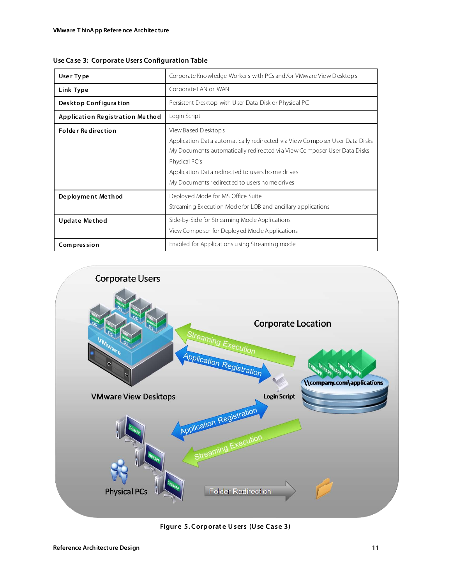| User Type                       | Corporate Kno wledge Workers with PCs and/or VMware View Desktops                                                                                                                                                                                                                                  |
|---------------------------------|----------------------------------------------------------------------------------------------------------------------------------------------------------------------------------------------------------------------------------------------------------------------------------------------------|
| Link Type                       | Corporate LAN or WAN                                                                                                                                                                                                                                                                               |
| Desktop Configuration           | Persistent Desktop with U ser Data Disk or Physical PC                                                                                                                                                                                                                                             |
| Application Registration Method | Login Script                                                                                                                                                                                                                                                                                       |
| <b>Folder Redirection</b>       | View Based Desktops<br>Application Data automatically redirected via View Composer User Data Disks<br>My Documents automatically redirected via View Composer User Data Disks<br>Physical PC's<br>Application Data redirected to users home drives<br>My Documents redirected to users home drives |
| Deployment Method               | Deployed Mode for MS Office Suite<br>Streaming Execution Mode for LOB and ancillary applications                                                                                                                                                                                                   |
| Update Method                   | Side-by-Side for Streaming Mode Applications<br>View Composer for Deployed Mode Applications                                                                                                                                                                                                       |
| Compression                     | Enabled for Applications using Streaming mode                                                                                                                                                                                                                                                      |

|  |  | Use Case 3: Corporate Users Configuration Table |  |  |  |
|--|--|-------------------------------------------------|--|--|--|
|  |  |                                                 |  |  |  |



Figure 5. Corporate Users (Use Case 3)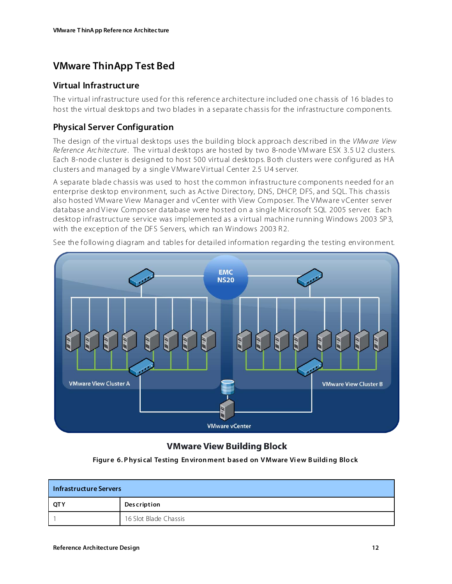### **VMware ThinApp Test Bed**

#### **Virtual Infrastruct ure**

The virtual infrastructure used for this reference architecture included one chassis of 16 blades to host the virtual desktops and two blades in a separate chassis for the infrastructure components.

#### **Physical Server Configuration**

The design of the virtual desk tops uses the building block approach described in the *VMw are View Re ference Arc hite cture* . The virtual desk tops are hosted by two 8-node VM ware ESX 3.5 U2 clusters. Each 8-node cluster is designed to host 500 virtual desk tops. B oth clusters were configured as HA clusters and managed by a single V Mware V irtual Center 2.5 U4 server.

A separate blade chassis was used to host the common infrastructure components needed for an enterprise desk top environment, such as Active Directory, DNS, DHCP, DFS, and SQL. This chassis also hosted VM ware View Manager and vCenter with View Composer. The V Mware vCenter server database and View Composer database were hosted on a single Microsoft SQL 2005 server. Each desktop infrastructure service was implemented as a virtual machine running Windows 2003 SP 3, with the exception of the DFS Servers, which ran Windows 2003 R2.



See the following diagram and tables for detailed information regarding the testing environment.

#### **VMware View Building Block**

**Figur e 6. P hysi cal Testing En viron ment b ased on VMware Vi ew B uildi ng Blo ck**

| <b>Infrastructure Servers</b> |                       |  |  |
|-------------------------------|-----------------------|--|--|
| QT Y                          | <b>Description</b>    |  |  |
|                               | 16 Slot Blade Chassis |  |  |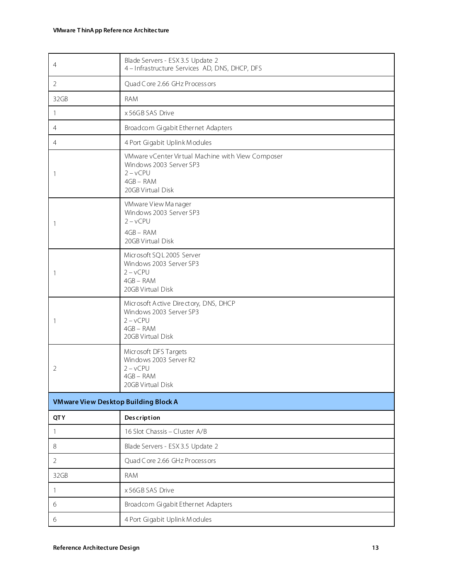| $\overline{4}$                              | Blade Servers - ESX 3.5 Update 2<br>4 - Infrastructure Services AD, DNS, DHCP, DFS                                              |  |  |
|---------------------------------------------|---------------------------------------------------------------------------------------------------------------------------------|--|--|
| $\overline{2}$                              | Quad C ore 2.66 GHz Process ors                                                                                                 |  |  |
| 32GB                                        | <b>RAM</b>                                                                                                                      |  |  |
| 1                                           | x 56GB SAS Drive                                                                                                                |  |  |
| 4                                           | Broadcom Gigabit Ethernet Adapters                                                                                              |  |  |
| 4                                           | 4 Port Gigabit Uplink Modules                                                                                                   |  |  |
|                                             | VMware vCenter Virtual Machine with View Composer<br>Windows 2003 Server SP3<br>$2 - v$ CPU<br>$4GB - RAM$<br>20GB Virtual Disk |  |  |
|                                             | VMware View Manager<br>Windows 2003 Server SP3<br>$2 - v$ CPU<br>$4GB - RAM$<br>20GB Virtual Disk                               |  |  |
|                                             | Microsoft SQL 2005 Server<br>Windows 2003 Server SP3<br>$2 - vCPU$<br>$4GB - RAM$<br>20GB Virtual Disk                          |  |  |
|                                             | Microsoft Active Directory, DNS, DHCP<br>Windows 2003 Server SP3<br>$2 - vCPU$<br>$4GB - RAM$<br>20GB Virtual Disk              |  |  |
| 2                                           | Microsoft DFS Targets<br>Windows 2003 Server R2<br>$2 - vCPU$<br>$4GB - RAM$<br>20GB Virtual Disk                               |  |  |
| <b>VMware View Desktop Building Block A</b> |                                                                                                                                 |  |  |
| QTY                                         | <b>Description</b>                                                                                                              |  |  |
| 1                                           | 16 Slot Chassis - Cluster A/B                                                                                                   |  |  |
| 8                                           | Blade Servers - ESX 3.5 Update 2                                                                                                |  |  |
| 2                                           | Quad Core 2.66 GHz Process ors                                                                                                  |  |  |
| 32GB                                        | <b>RAM</b>                                                                                                                      |  |  |
|                                             | x 56GB SAS Drive                                                                                                                |  |  |
| 6                                           | Broadcom Gigabit Ethernet Adapters                                                                                              |  |  |
| 6                                           | 4 Port Gigabit Uplink Modules                                                                                                   |  |  |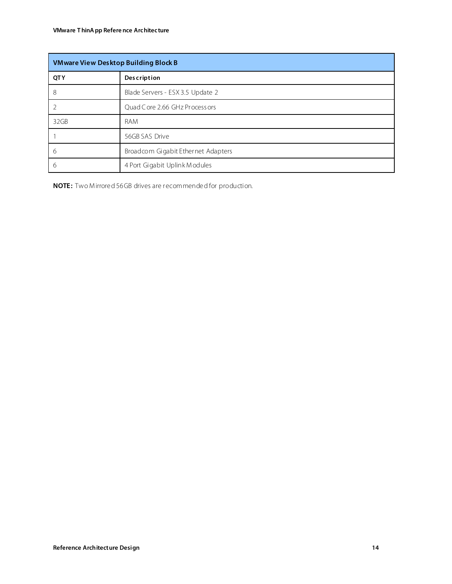| <b>VMware View Desktop Building Block B</b> |                                    |  |  |
|---------------------------------------------|------------------------------------|--|--|
| QTY                                         | <b>Description</b>                 |  |  |
| 8                                           | Blade Servers - ESX 3.5 Update 2   |  |  |
|                                             | Quad C ore 2.66 GHz Process ors    |  |  |
| 32GB                                        | <b>RAM</b>                         |  |  |
|                                             | 56GB SAS Drive                     |  |  |
| 6                                           | Broadcom Gigabit Ethernet Adapters |  |  |
| 6                                           | 4 Port Gigabit Uplink Modules      |  |  |

NOTE: Two Mirrored 56GB drives are recommended for production.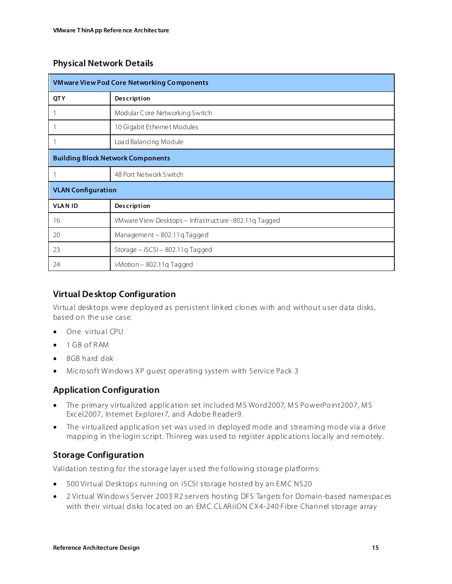#### **Physical Network Details**

| <b>VMware View Pod Core Networking Components</b> |                                                       |  |  |
|---------------------------------------------------|-------------------------------------------------------|--|--|
| QTY                                               | Description                                           |  |  |
|                                                   | Modular Core Networking Switch                        |  |  |
|                                                   | 10 Gigabit Ethernet Modules                           |  |  |
|                                                   | Load Balancing Module                                 |  |  |
|                                                   | <b>Building Block Network Components</b>              |  |  |
|                                                   | 48 Port Ne twork S witch                              |  |  |
| <b>VLAN Configuration</b>                         |                                                       |  |  |
| <b>VLAN ID</b>                                    | Description                                           |  |  |
| 16                                                | VMware View Desktops - Infrastructure -802.11q Tagged |  |  |
| 20                                                | Management - 802.11 q Tagged                          |  |  |
| 23                                                | Storage - iSCSI - 802.11q Tagged                      |  |  |
| 24                                                | vMotion - 802.11q Tagged                              |  |  |

#### **Virtual Desktop Configuration**

Virtual desktops were deployed as persistent linked clones with and without user data disks, based on the use case.

- One virtual CPU
- 1 GB of R AM
- 8GB hard disk
- Microsoft Windows XP guest operating system with Service Pack 3

#### **Application Configuration**

- The primary virtualized application set included MS Word2007, MS PowerPoint2007, MS Excel2007, Internet Explorer7, and Adobe Reader9.
- The virtualized application set was used in deployed mode and streaming mode via a drive mapping in the login script. Thinreg was used to register applications locally and remotely.

#### **Storage Configuration**

Validation testing for the storage layer used the following storage platforms:

- 500 Virtual Desktops running on iSCSI storage hosted by an EMC NS20
- 2 Virtual Windows Server 2003 R 2 servers hosting DFS Targets for Domain-based namespaces with their virtual disks located on an EMC CLARiiON CX4-240 Fibre Channel storage array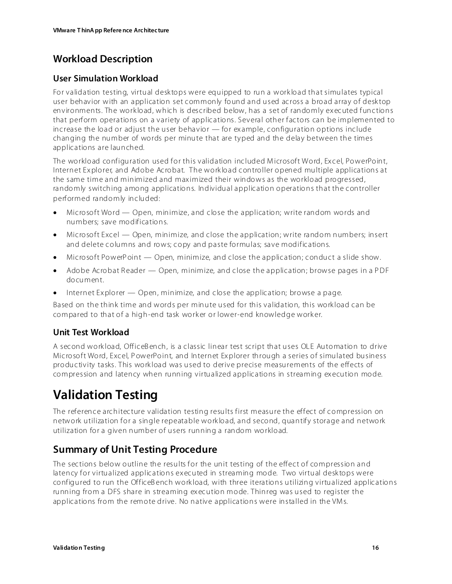### **Workload Description**

#### **User Simulation Workload**

For validation testing, virtual desktops were equipped to run a workload that simulates typical user behavior with an application set commonly found and used across a broad array of desktop environments. The work load, which is described below, has a set of randomly ex ecuted functions that perform operations on a variety of applications. Several other factors can be implemented to increase the load or adjust the user behavior — for ex ample, configuration options include changing the number of words per minute that are typed and the delay between the times applications are launched.

The workload configuration used for this validation included M icrosoft Word, Ex cel, PowerPoint, Internet Ex plorer, and Adobe Acrobat. The work load controller opened multiple applications at the same time and minimized and max imized their windows as the workload progressed, randomly switching among applications. Individual application operations that the controller performed randomly included:

- Microsoft Word Open, minimize, and close the application; write random words and numbers; save modifications.
- Microsoft Excel Open, minimize, and close the application; write random numbers; insert and delete columns and rows; copy and paste formulas; save modifications.
- Microsoft PowerP oint Open, minimize, and close the application; conduct a slide show.
- Adobe Acrobat Reader  $-$  Open, minimize, and close the application; browse pages in a PDF document.
- Internet Explorer Open, minimize, and close the application; browse a page.

Based on the think time and words per minute used for this validation, this work load can be compared to that of a high-end task worker or lower-end knowledge worker.

#### **Unit Test Workload**

A second work load, OfficeB ench, is a classic linear test script that uses OLE Automation to drive Microsoft Word, Excel, P owerPoint, and Internet Ex plorer through a series of simulated business productivity tasks. This work load was used to derive precise measurements of the effects of compression and latency when running virtualized applications in streaming ex ecution mode.

# **Validation Testing**

The reference architecture validation testing results first measure the effect of compression on network utilization for a single repeatable work load, and second, quantify storage and network utilization for a given number of users running a random workload.

### **Summary of Unit Testing Procedure**

The sections below outline the results for the unit testing of the effect of compression and latency for virtualized applications ex ecuted in streaming mode. Two virtual desk tops were configured to run the OfficeB ench work load, with three iterations utilizing virtualized applications running from a DFS share in streaming ex ecution mode. Thinreg was used to register the applications from the remote drive. No native applications were installed in the VMs.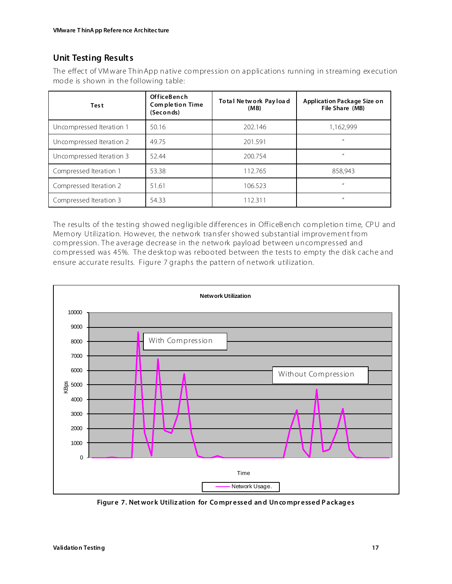#### **Unit Testing Results**

The effect of VM ware Thin App native compression on applications running in streaming execution mode is shown in the following table:

| <b>Test</b>              | OfficeBench<br><b>Completion Time</b><br>(Seconds) | Total Network Payload<br>(MB) | Application Package Size on<br>File Share (MB)                                                               |
|--------------------------|----------------------------------------------------|-------------------------------|--------------------------------------------------------------------------------------------------------------|
| Uncompressed Iteration 1 | 50.16                                              | 202.146                       | 1.162.999                                                                                                    |
| Uncompressed Iteration 2 | 49.75                                              | 201.591                       | $\mathcal{U}% _{0}\left( t\right) \equiv\mathcal{U}_{0}\left( t\right) \equiv\mathcal{U}_{0}\left( t\right)$ |
| Uncompressed Iteration 3 | 52.44                                              | 200.754                       | $\mathcal{U}% _{0}\left( t\right) \equiv\mathcal{U}_{0}\left( t\right) \equiv\mathcal{U}_{0}\left( t\right)$ |
| Compressed Iteration 1   | 53.38                                              | 112.765                       | 858,943                                                                                                      |
| Compressed Iteration 2   | 51.61                                              | 106.523                       | $\prime$                                                                                                     |
| Compressed Iteration 3   | 54.33                                              | 112.311                       | $\mathbf{u}$                                                                                                 |

The results of the testing showed negligible differences in OfficeBench completion time, CPU and Memory Utilization. However, the network transfer showed substantial improvement from compression. The average decrease in the network payload between uncompressed and compressed was 45%. The desktop was rebooted between the tests to empty the disk cache and ensure accurate results. Figure 7 graphs the pattern of network utilization.



Figure 7. Network Utilization for Compressed and Uncompressed Packages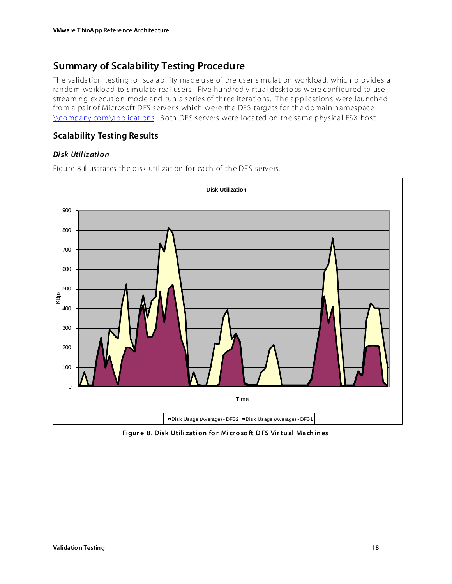### **Summary of Scalability Testing Procedure**

The validation testing for scalability made use of the user simulation workload, which provides a random workload to simulate real users. Five hundred virtual desktops were configured to use streaming execution mode and run a series of three iterations. The applications were launched from a pair of Microsoft DFS server's which were the DFS targets for the domain namespace Ncompany.com\applications. Both DFS servers were located on the same physical ESX host.

#### **Scalability Testing Results**

#### **Disk Utilization**



Figure 8 illustrates the disk utilization for each of the DFS servers.

Figure 8. Disk Utilization for Microsoft DFS Virtual Machines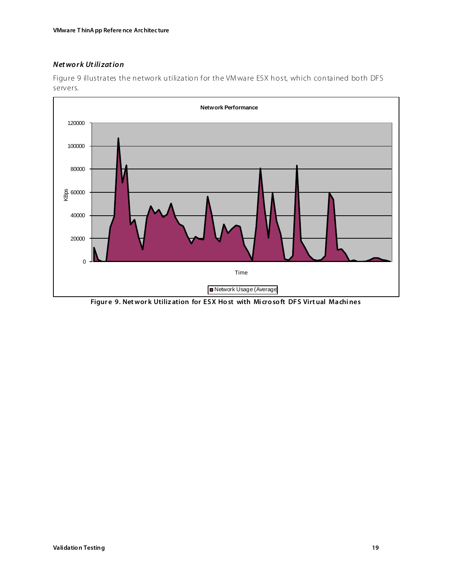#### **Network Utilization**

Figure 9 illustrates the network utilization for the VM ware ESX host, which contained both DFS servers.



Figure 9. Network Utilization for ESX Host with Microsoft DFS Virtual Machines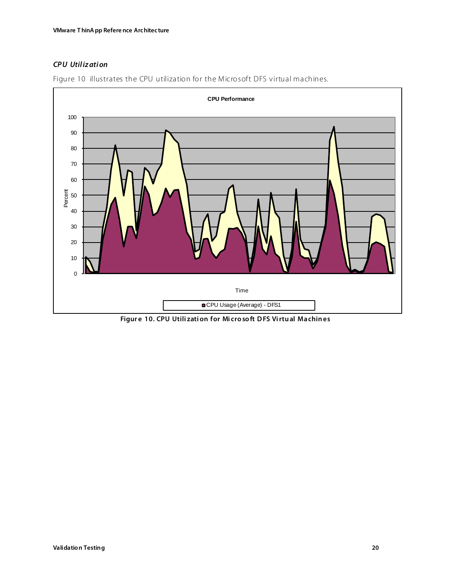#### **CPU Utilization**



Figure 10 illustrates the CPU utilization for the Microsoft DFS virtual machines.

Figure 10. CPU Utilization for Microsoft DFS Virtual Machines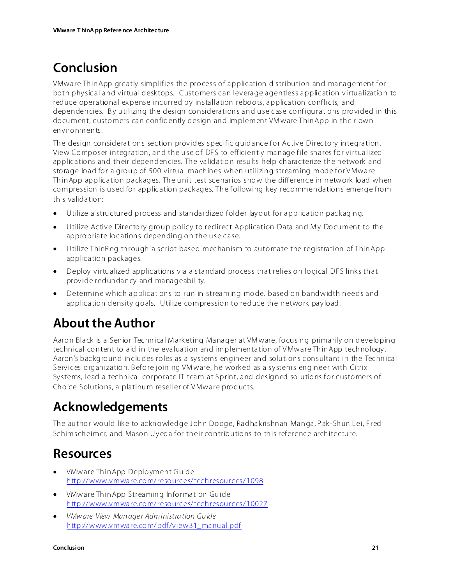# **Conclusion**

VMware ThinApp greatly simplifies the process of application distribution and management for both physical and virtual desk tops. Customers can leverage agentless application virtualization to reduce operational ex pense incurred by installation reboots, application conflicts, and dependencies. By utilizing the design considerations and use case configurations provided in this document, customers can confidently design and implement VM ware ThinApp in their own environments.

The design considerations section provides specific guidance for Active Directory integration, View Composer integration, and the use of DFS to efficiently manage file shares for virtualized applications and their dependencies. The validation results help characterize the network and storage load for a group of 500 virtual machines when utilizing streaming mode for V Mware ThinApp application packages. The unit test scenarios show the difference in network load when compression is used for application packages. The following key recommendations emerge from this validation:

- Utilize a structured process and standardized folder layout for application pack aging.
- Utilize Active Directory group policy to redirect Application Data and My Document to the appropriate locations depending on the use case.
- Utilize ThinR eg through a script based mechanism to automate the registration of ThinApp application pack ages.
- Deploy virtualized applications via a standard process that relies on logical DFS links that provide redundancy and manageability.
- Determine which applications to run in streaming mode, based on bandwidth needs and application density goals. Utilize compression to reduce the network payload.

# **About the Author**

Aaron Black is a Senior Technical Marketing Manager at VM ware, focusing primarily on developing technical content to aid in the evaluation and implementation of VMware ThinApp technology. Aaron's background includes roles as a systems engineer and solutions consultant in the Technical Services organization. Before joining VM ware, he worked as a systems engineer with Citrix Systems, lead a technical corporate IT team at Sprint, and designed solutions for customers of Choice Solutions, a platinum reseller of V Mware products.

# **Acknowledgements**

The author would like to acknowledge John Dodge, Radhakrishnan Manga, Pak-Shun Lei, Fred Schimscheimer, and Mason Uyeda for their contributions to this reference architecture.

# **Resources**

- VMware ThinApp Deployment Guide <http://www.vmware.com/resources/techresources/1098>
- VMware ThinApp Streaming Information Guide <http://www.vmware.com/resources/techresources/10027>
- *VMw are View Man age r Adm inistra tion Gu ide* [http://www.vmware.com/pdf/view31\\_ manual.pdf](http://www.vmware.com/pdf/view31_manual.pdf)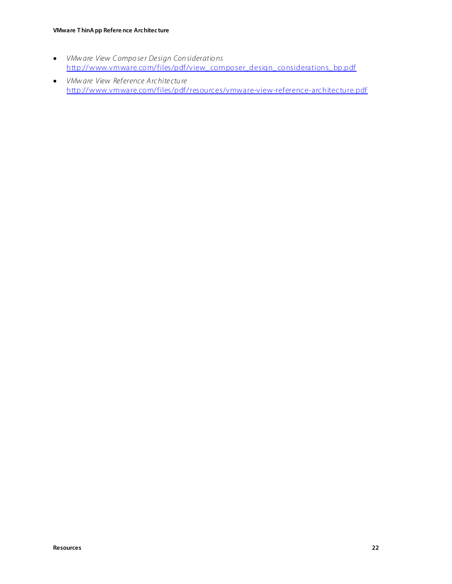#### VMware ThinA pp Reference Architecture

- VMware View Composer Design Considerations http://www.vmware.com/files/pdf/view\_composer\_design\_considerations\_bp.pdf
- VMware View Reference Architecture http://www.vmware.com/files/pdf/resources/vmware-view-reference-architecture.pdf